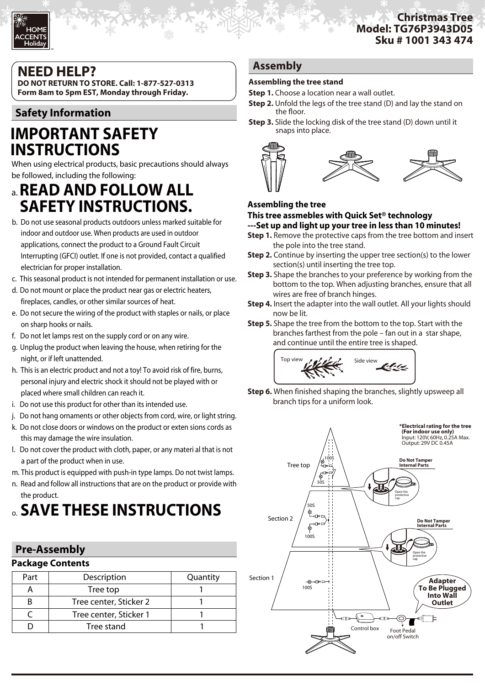#### **Christmas Tree Model: TG76P3943D05 Sku # 1001 343 474**

## **NEED HELP?**

TM

**DO NOT RETURN TO STORE. Call: 1-877-527-0313 Form 8am to 5pm EST, Monday through Friday.**

## **Safety Information**

## **IMPORTANT SAFETY INSTRUCTIONS**

When using electrical products, basic precautions should always be followed, including the following:

## a. **READ AND FOLLOW ALL SAFETY INSTRUCTIONS.**

- b. Do not use seasonal products outdoors unless marked suitable for indoor and outdoor use. When products are used in outdoor applications, connect the product to a Ground Fault Circuit Interrupting (GFCI) outlet. If one is not provided, contact a qualified electrician for proper installation.
- c. This seasonal product is not intended for permanent installation or use.
- d. Do not mount or place the product near gas or electric heaters, fireplaces, candles, or other similar sources of heat.
- e. Do not secure the wiring of the product with staples or nails, or place on sharp hooks or nails.
- f. Do not let lamps rest on the supply cord or on any wire.
- g. Unplug the product when leaving the house, when retiring for the night, or if left unattended.
- h. This is an electric product and not a toy! To avoid risk of fire, burns, personal injury and electric shock it should not be played with or placed where small children can reach it.
- i. Do not use this product for other than its intended use.
- j. Do not hang ornaments or other objects from cord, wire, or light string.
- k. Do not close doors or windows on the product or exten sions cords as this may damage the wire insulation.
- l. Do not cover the product with cloth, paper, or any materi al that is not a part of the product when in use.
- m. This product is equipped with push-in type lamps. Do not twist lamps.
- n. Read and follow all instructions that are on the product or provide with the product.

# o. **SAVE THESE INSTRUCTIONS**

## **Pre-Assembly**

## **Package Contents**

| Larvade contents |                        |          |
|------------------|------------------------|----------|
| Part             | Description            | Quantity |
|                  | Tree top               |          |
| в                | Tree center, Sticker 2 |          |
|                  | Tree center, Sticker 1 |          |
|                  | Tree stand             |          |
|                  |                        |          |

#### **Assembly**

#### **Assembling the tree stand**

- **Step 1.** Choose a location near a wall outlet.
- **Step 2.** Unfold the legs of the tree stand (D) and lay the stand on the floor.
- **Step 3.** Slide the locking disk of the tree stand (D) down until it snaps into place.



#### **Assembling the tree**

#### **This tree assmebles with Quick Set® technology ---Set up and light up your tree in less than 10 minutes!**

- **Step 1.** Remove the protective caps from the tree bottom and insert the pole into the tree stand.
- **Step 2.** Continue by inserting the upper tree section(s) to the lower section(s) until inserting the tree top.
- **Step 3.** Shape the branches to your preference by working from the bottom to the top. When adjusting branches, ensure that all wires are free of branch hinges.
- **Step 4.** Insert the adapter into the wall outlet. All your lights should now be lit.
- **Step 5.** Shape the tree from the bottom to the top. Start with the branches farthest from the pole – fan out in a star shape, and continue until the entire tree is shaped.



**Step 6.** When finished shaping the branches, slightly upsweep all branch tips for a uniform look.